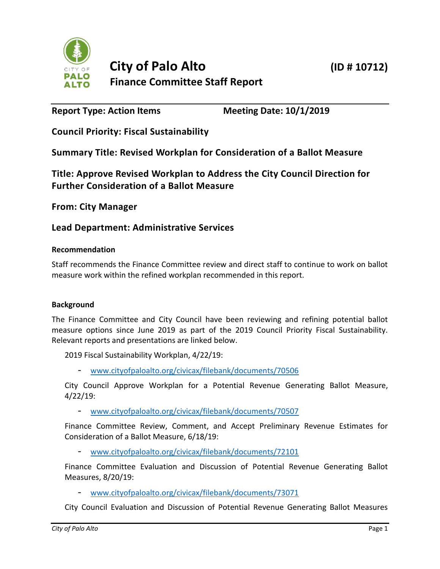

**Report Type: Action Items Meeting Date: 10/1/2019**

**Council Priority: Fiscal Sustainability**

**Summary Title: Revised Workplan for Consideration of a Ballot Measure**

**Title: Approve Revised Workplan to Address the City Council Direction for Further Consideration of a Ballot Measure**

**From: City Manager**

# **Lead Department: Administrative Services**

#### **Recommendation**

Staff recommends the Finance Committee review and direct staff to continue to work on ballot measure work within the refined workplan recommended in this report.

#### **Background**

The Finance Committee and City Council have been reviewing and refining potential ballot measure options since June 2019 as part of the 2019 Council Priority Fiscal Sustainability. Relevant reports and presentations are linked below.

2019 Fiscal Sustainability Workplan, 4/22/19:

- [www.cityofpaloalto.org/civicax/filebank/documents/70506](http://www.cityofpaloalto.org/civicax/filebank/documents/70506)

City Council Approve Workplan for a Potential Revenue Generating Ballot Measure, 4/22/19:

- [www.cityofpaloalto.org/civicax/filebank/documents/70507](http://www.cityofpaloalto.org/civicax/filebank/documents/70507)

Finance Committee Review, Comment, and Accept Preliminary Revenue Estimates for Consideration of a Ballot Measure, 6/18/19:

- [www.cityofpaloalto.org/civicax/filebank/documents/72101](http://www.cityofpaloalto.org/civicax/filebank/documents/72101)

Finance Committee Evaluation and Discussion of Potential Revenue Generating Ballot Measures, 8/20/19:

- [www.cityofpaloalto.org/civicax/filebank/documents/73071](http://www.cityofpaloalto.org/civicax/filebank/documents/73071)

City Council Evaluation and Discussion of Potential Revenue Generating Ballot Measures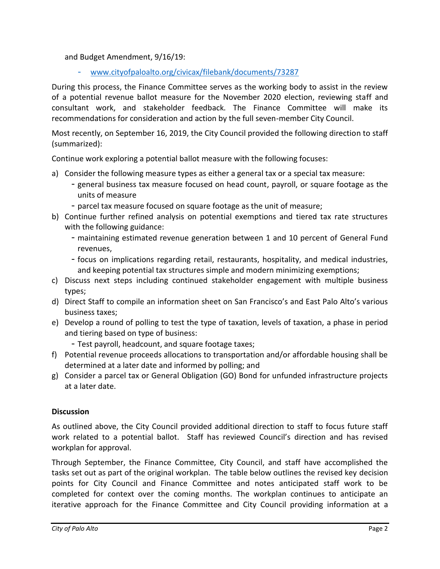and Budget Amendment, 9/16/19:

- [www.cityofpaloalto.org/civicax/filebank/documents/73287](http://www.cityofpaloalto.org/civicax/filebank/documents/73287)

During this process, the Finance Committee serves as the working body to assist in the review of a potential revenue ballot measure for the November 2020 election, reviewing staff and consultant work, and stakeholder feedback. The Finance Committee will make its recommendations for consideration and action by the full seven-member City Council.

Most recently, on September 16, 2019, the City Council provided the following direction to staff (summarized):

Continue work exploring a potential ballot measure with the following focuses:

- a) Consider the following measure types as either a general tax or a special tax measure:
	- general business tax measure focused on head count, payroll, or square footage as the units of measure
	- parcel tax measure focused on square footage as the unit of measure;
- b) Continue further refined analysis on potential exemptions and tiered tax rate structures with the following guidance:
	- maintaining estimated revenue generation between 1 and 10 percent of General Fund revenues,
	- focus on implications regarding retail, restaurants, hospitality, and medical industries, and keeping potential tax structures simple and modern minimizing exemptions;
- c) Discuss next steps including continued stakeholder engagement with multiple business types;
- d) Direct Staff to compile an information sheet on San Francisco's and East Palo Alto's various business taxes;
- e) Develop a round of polling to test the type of taxation, levels of taxation, a phase in period and tiering based on type of business:
	- Test payroll, headcount, and square footage taxes;
- f) Potential revenue proceeds allocations to transportation and/or affordable housing shall be determined at a later date and informed by polling; and
- g) Consider a parcel tax or General Obligation (GO) Bond for unfunded infrastructure projects at a later date.

#### **Discussion**

As outlined above, the City Council provided additional direction to staff to focus future staff work related to a potential ballot. Staff has reviewed Council's direction and has revised workplan for approval.

Through September, the Finance Committee, City Council, and staff have accomplished the tasks set out as part of the original workplan. The table below outlines the revised key decision points for City Council and Finance Committee and notes anticipated staff work to be completed for context over the coming months. The workplan continues to anticipate an iterative approach for the Finance Committee and City Council providing information at a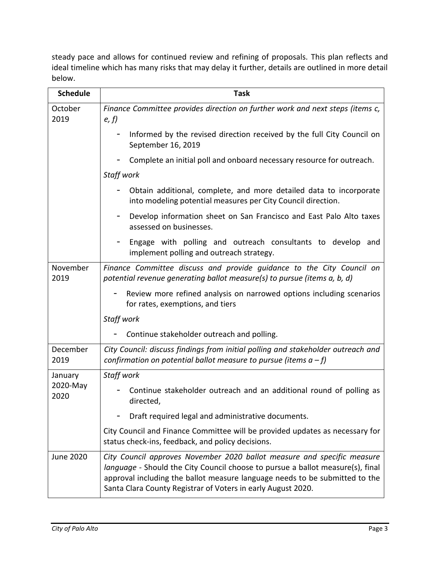steady pace and allows for continued review and refining of proposals. This plan reflects and ideal timeline which has many risks that may delay it further, details are outlined in more detail below.

| <b>Schedule</b>             | <b>Task</b>                                                                                                                                                                                                                                                                                              |
|-----------------------------|----------------------------------------------------------------------------------------------------------------------------------------------------------------------------------------------------------------------------------------------------------------------------------------------------------|
| October<br>2019             | Finance Committee provides direction on further work and next steps (items c,<br>e, f                                                                                                                                                                                                                    |
|                             | Informed by the revised direction received by the full City Council on<br>September 16, 2019                                                                                                                                                                                                             |
|                             | Complete an initial poll and onboard necessary resource for outreach.                                                                                                                                                                                                                                    |
|                             | Staff work                                                                                                                                                                                                                                                                                               |
|                             | Obtain additional, complete, and more detailed data to incorporate<br>into modeling potential measures per City Council direction.                                                                                                                                                                       |
|                             | Develop information sheet on San Francisco and East Palo Alto taxes<br>assessed on businesses.                                                                                                                                                                                                           |
|                             | Engage with polling and outreach consultants to develop and<br>implement polling and outreach strategy.                                                                                                                                                                                                  |
| November<br>2019            | Finance Committee discuss and provide guidance to the City Council on<br>potential revenue generating ballot measure(s) to pursue (items a, b, d)                                                                                                                                                        |
|                             | Review more refined analysis on narrowed options including scenarios<br>for rates, exemptions, and tiers                                                                                                                                                                                                 |
|                             | Staff work                                                                                                                                                                                                                                                                                               |
|                             | Continue stakeholder outreach and polling.                                                                                                                                                                                                                                                               |
| December<br>2019            | City Council: discuss findings from initial polling and stakeholder outreach and<br>confirmation on potential ballot measure to pursue (items $a - f$ )                                                                                                                                                  |
| January<br>2020-May<br>2020 | Staff work                                                                                                                                                                                                                                                                                               |
|                             | Continue stakeholder outreach and an additional round of polling as<br>directed,                                                                                                                                                                                                                         |
|                             | Draft required legal and administrative documents.                                                                                                                                                                                                                                                       |
|                             | City Council and Finance Committee will be provided updates as necessary for<br>status check-ins, feedback, and policy decisions.                                                                                                                                                                        |
| <b>June 2020</b>            | City Council approves November 2020 ballot measure and specific measure<br>language - Should the City Council choose to pursue a ballot measure(s), final<br>approval including the ballot measure language needs to be submitted to the<br>Santa Clara County Registrar of Voters in early August 2020. |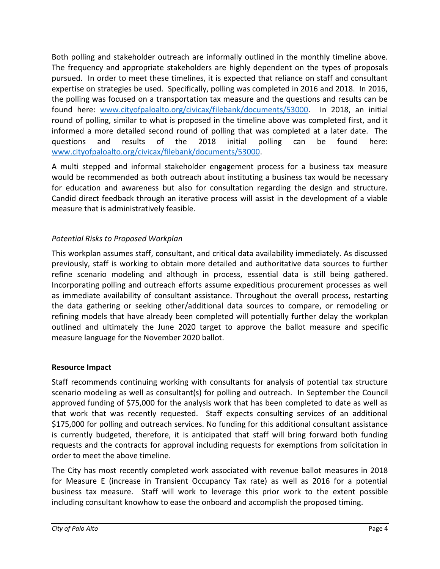Both polling and stakeholder outreach are informally outlined in the monthly timeline above. The frequency and appropriate stakeholders are highly dependent on the types of proposals pursued. In order to meet these timelines, it is expected that reliance on staff and consultant expertise on strategies be used. Specifically, polling was completed in 2016 and 2018. In 2016, the polling was focused on a transportation tax measure and the questions and results can be found here: [www.cityofpaloalto.org/civicax/filebank/documents/53000.](http://www.cityofpaloalto.org/civicax/filebank/documents/53000) In 2018, an initial round of polling, similar to what is proposed in the timeline above was completed first, and it informed a more detailed second round of polling that was completed at a later date. The questions and results of the 2018 initial polling can be found here: [www.cityofpaloalto.org/civicax/filebank/documents/53000.](http://www.cityofpaloalto.org/civicax/filebank/documents/53000)

A multi stepped and informal stakeholder engagement process for a business tax measure would be recommended as both outreach about instituting a business tax would be necessary for education and awareness but also for consultation regarding the design and structure. Candid direct feedback through an iterative process will assist in the development of a viable measure that is administratively feasible.

### *Potential Risks to Proposed Workplan*

This workplan assumes staff, consultant, and critical data availability immediately. As discussed previously, staff is working to obtain more detailed and authoritative data sources to further refine scenario modeling and although in process, essential data is still being gathered. Incorporating polling and outreach efforts assume expeditious procurement processes as well as immediate availability of consultant assistance. Throughout the overall process, restarting the data gathering or seeking other/additional data sources to compare, or remodeling or refining models that have already been completed will potentially further delay the workplan outlined and ultimately the June 2020 target to approve the ballot measure and specific measure language for the November 2020 ballot.

### **Resource Impact**

Staff recommends continuing working with consultants for analysis of potential tax structure scenario modeling as well as consultant(s) for polling and outreach. In September the Council approved funding of \$75,000 for the analysis work that has been completed to date as well as that work that was recently requested. Staff expects consulting services of an additional \$175,000 for polling and outreach services. No funding for this additional consultant assistance is currently budgeted, therefore, it is anticipated that staff will bring forward both funding requests and the contracts for approval including requests for exemptions from solicitation in order to meet the above timeline.

The City has most recently completed work associated with revenue ballot measures in 2018 for Measure E (increase in Transient Occupancy Tax rate) as well as 2016 for a potential business tax measure. Staff will work to leverage this prior work to the extent possible including consultant knowhow to ease the onboard and accomplish the proposed timing.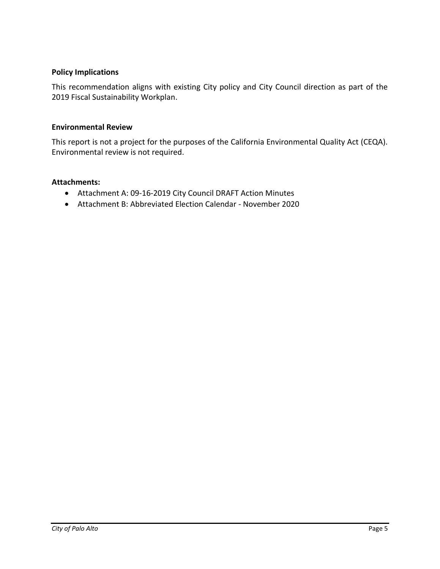#### **Policy Implications**

This recommendation aligns with existing City policy and City Council direction as part of the 2019 Fiscal Sustainability Workplan.

#### **Environmental Review**

This report is not a project for the purposes of the California Environmental Quality Act (CEQA). Environmental review is not required.

#### **Attachments:**

- Attachment A: 09-16-2019 City Council DRAFT Action Minutes
- Attachment B: Abbreviated Election Calendar November 2020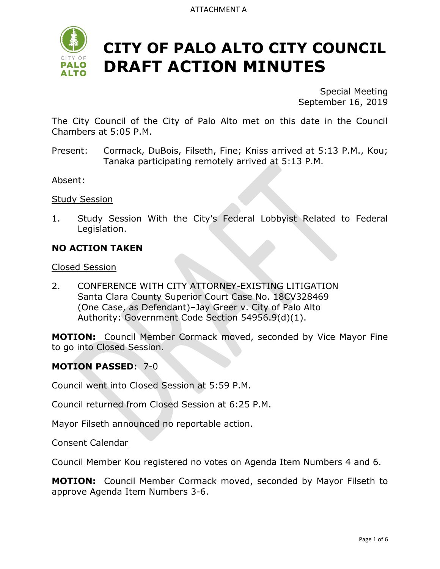

Special Meeting September 16, 2019

The City Council of the City of Palo Alto met on this date in the Council Chambers at 5:05 P.M.

Present: Cormack, DuBois, Filseth, Fine; Kniss arrived at 5:13 P.M., Kou; Tanaka participating remotely arrived at 5:13 P.M.

Absent:

**Study Session** 

1. Study Session With the City's Federal Lobbyist Related to Federal Legislation.

#### **NO ACTION TAKEN**

Closed Session

2. CONFERENCE WITH CITY ATTORNEY-EXISTING LITIGATION Santa Clara County Superior Court Case No. 18CV328469 (One Case, as Defendant)–Jay Greer v. City of Palo Alto Authority: Government Code Section 54956.9(d)(1).

**MOTION:** Council Member Cormack moved, seconded by Vice Mayor Fine to go into Closed Session.

#### **MOTION PASSED:** 7-0

Council went into Closed Session at 5:59 P.M.

Council returned from Closed Session at 6:25 P.M.

Mayor Filseth announced no reportable action.

Consent Calendar

Council Member Kou registered no votes on Agenda Item Numbers 4 and 6.

**MOTION:** Council Member Cormack moved, seconded by Mayor Filseth to approve Agenda Item Numbers 3-6.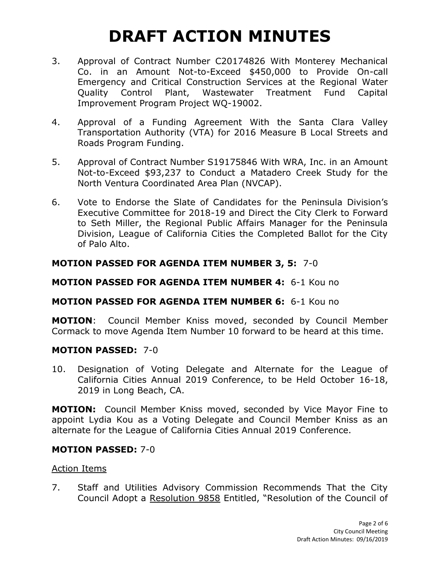- 3. Approval of Contract Number C20174826 With Monterey Mechanical Co. in an Amount Not-to-Exceed \$450,000 to Provide On-call Emergency and Critical Construction Services at the Regional Water Quality Control Plant, Wastewater Treatment Fund Capital Improvement Program Project WQ-19002.
- 4. Approval of a Funding Agreement With the Santa Clara Valley Transportation Authority (VTA) for 2016 Measure B Local Streets and Roads Program Funding.
- 5. Approval of Contract Number S19175846 With WRA, Inc. in an Amount Not-to-Exceed \$93,237 to Conduct a Matadero Creek Study for the North Ventura Coordinated Area Plan (NVCAP).
- 6. Vote to Endorse the Slate of Candidates for the Peninsula Division's Executive Committee for 2018-19 and Direct the City Clerk to Forward to Seth Miller, the Regional Public Affairs Manager for the Peninsula Division, League of California Cities the Completed Ballot for the City of Palo Alto.

## **MOTION PASSED FOR AGENDA ITEM NUMBER 3, 5:** 7-0

### **MOTION PASSED FOR AGENDA ITEM NUMBER 4:** 6-1 Kou no

# **MOTION PASSED FOR AGENDA ITEM NUMBER 6:** 6-1 Kou no

**MOTION**: Council Member Kniss moved, seconded by Council Member Cormack to move Agenda Item Number 10 forward to be heard at this time.

### **MOTION PASSED:** 7-0

10. Designation of Voting Delegate and Alternate for the League of California Cities Annual 2019 Conference, to be Held October 16-18, 2019 in Long Beach, CA.

**MOTION:** Council Member Kniss moved, seconded by Vice Mayor Fine to appoint Lydia Kou as a Voting Delegate and Council Member Kniss as an alternate for the League of California Cities Annual 2019 Conference.

### **MOTION PASSED:** 7-0

#### Action Items

7. Staff and Utilities Advisory Commission Recommends That the City Council Adopt a Resolution 9858 Entitled, "Resolution of the Council of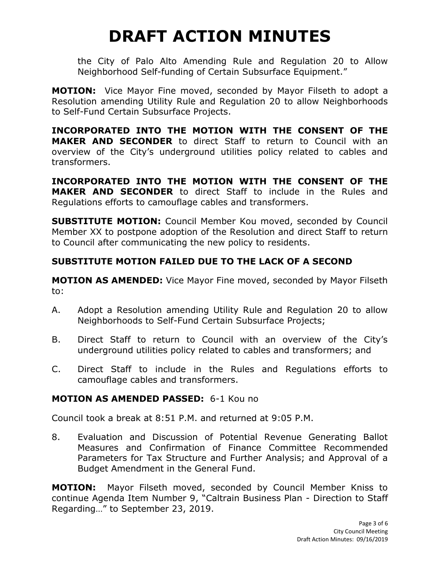the City of Palo Alto Amending Rule and Regulation 20 to Allow Neighborhood Self-funding of Certain Subsurface Equipment."

**MOTION:** Vice Mayor Fine moved, seconded by Mayor Filseth to adopt a Resolution amending Utility Rule and Regulation 20 to allow Neighborhoods to Self-Fund Certain Subsurface Projects.

**INCORPORATED INTO THE MOTION WITH THE CONSENT OF THE MAKER AND SECONDER** to direct Staff to return to Council with an overview of the City's underground utilities policy related to cables and transformers.

**INCORPORATED INTO THE MOTION WITH THE CONSENT OF THE MAKER AND SECONDER** to direct Staff to include in the Rules and Regulations efforts to camouflage cables and transformers.

**SUBSTITUTE MOTION:** Council Member Kou moved, seconded by Council Member XX to postpone adoption of the Resolution and direct Staff to return to Council after communicating the new policy to residents.

# **SUBSTITUTE MOTION FAILED DUE TO THE LACK OF A SECOND**

**MOTION AS AMENDED:** Vice Mayor Fine moved, seconded by Mayor Filseth to:

- A. Adopt a Resolution amending Utility Rule and Regulation 20 to allow Neighborhoods to Self-Fund Certain Subsurface Projects;
- B. Direct Staff to return to Council with an overview of the City's underground utilities policy related to cables and transformers; and
- C. Direct Staff to include in the Rules and Regulations efforts to camouflage cables and transformers.

# **MOTION AS AMENDED PASSED:** 6-1 Kou no

Council took a break at 8:51 P.M. and returned at 9:05 P.M.

8. Evaluation and Discussion of Potential Revenue Generating Ballot Measures and Confirmation of Finance Committee Recommended Parameters for Tax Structure and Further Analysis; and Approval of a Budget Amendment in the General Fund.

**MOTION:** Mayor Filseth moved, seconded by Council Member Kniss to continue Agenda Item Number 9, "Caltrain Business Plan - Direction to Staff Regarding…" to September 23, 2019.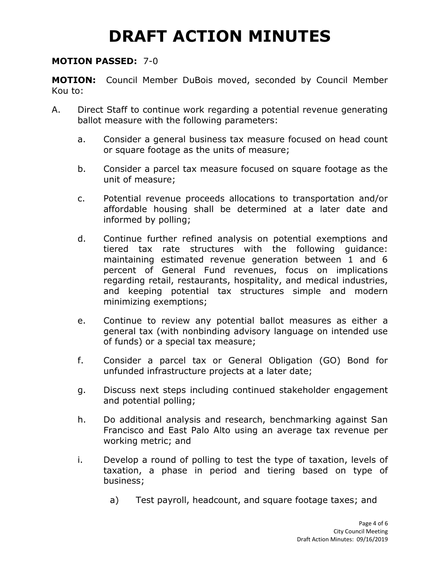#### **MOTION PASSED:** 7-0

**MOTION:** Council Member DuBois moved, seconded by Council Member Kou to:

- A. Direct Staff to continue work regarding a potential revenue generating ballot measure with the following parameters:
	- a. Consider a general business tax measure focused on head count or square footage as the units of measure;
	- b. Consider a parcel tax measure focused on square footage as the unit of measure;
	- c. Potential revenue proceeds allocations to transportation and/or affordable housing shall be determined at a later date and informed by polling;
	- d. Continue further refined analysis on potential exemptions and tiered tax rate structures with the following guidance: maintaining estimated revenue generation between 1 and 6 percent of General Fund revenues, focus on implications regarding retail, restaurants, hospitality, and medical industries, and keeping potential tax structures simple and modern minimizing exemptions;
	- e. Continue to review any potential ballot measures as either a general tax (with nonbinding advisory language on intended use of funds) or a special tax measure;
	- f. Consider a parcel tax or General Obligation (GO) Bond for unfunded infrastructure projects at a later date;
	- g. Discuss next steps including continued stakeholder engagement and potential polling;
	- h. Do additional analysis and research, benchmarking against San Francisco and East Palo Alto using an average tax revenue per working metric; and
	- i. Develop a round of polling to test the type of taxation, levels of taxation, a phase in period and tiering based on type of business;
		- a) Test payroll, headcount, and square footage taxes; and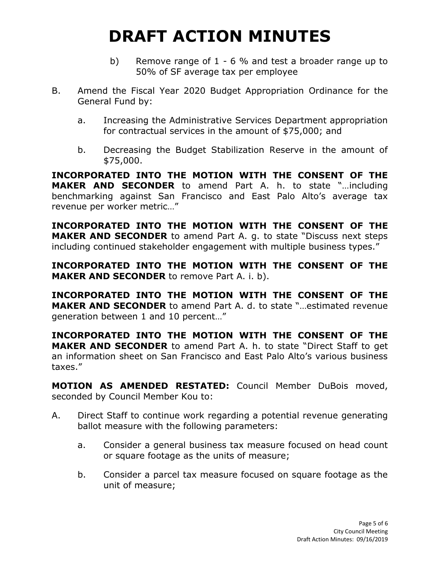- b) Remove range of 1 6 % and test a broader range up to 50% of SF average tax per employee
- B. Amend the Fiscal Year 2020 Budget Appropriation Ordinance for the General Fund by:
	- a. Increasing the Administrative Services Department appropriation for contractual services in the amount of \$75,000; and
	- b. Decreasing the Budget Stabilization Reserve in the amount of \$75,000.

**INCORPORATED INTO THE MOTION WITH THE CONSENT OF THE MAKER AND SECONDER** to amend Part A. h. to state "…including benchmarking against San Francisco and East Palo Alto's average tax revenue per worker metric…"

**INCORPORATED INTO THE MOTION WITH THE CONSENT OF THE MAKER AND SECONDER** to amend Part A. q. to state "Discuss next steps including continued stakeholder engagement with multiple business types."

**INCORPORATED INTO THE MOTION WITH THE CONSENT OF THE MAKER AND SECONDER** to remove Part A. i. b).

**INCORPORATED INTO THE MOTION WITH THE CONSENT OF THE MAKER AND SECONDER** to amend Part A. d. to state "…estimated revenue generation between 1 and 10 percent…"

**INCORPORATED INTO THE MOTION WITH THE CONSENT OF THE MAKER AND SECONDER** to amend Part A. h. to state "Direct Staff to get an information sheet on San Francisco and East Palo Alto's various business taxes."

**MOTION AS AMENDED RESTATED:** Council Member DuBois moved, seconded by Council Member Kou to:

- A. Direct Staff to continue work regarding a potential revenue generating ballot measure with the following parameters:
	- a. Consider a general business tax measure focused on head count or square footage as the units of measure;
	- b. Consider a parcel tax measure focused on square footage as the unit of measure;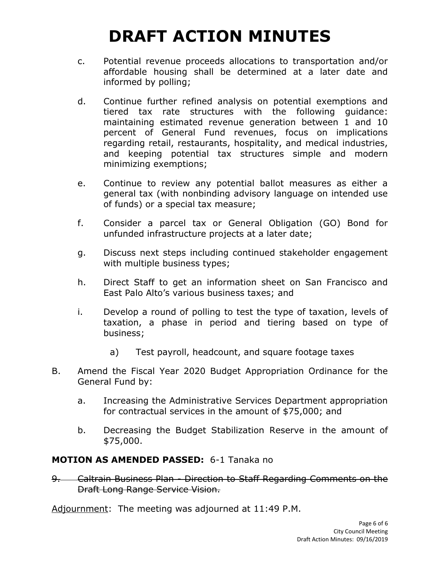- c. Potential revenue proceeds allocations to transportation and/or affordable housing shall be determined at a later date and informed by polling;
- d. Continue further refined analysis on potential exemptions and tiered tax rate structures with the following guidance: maintaining estimated revenue generation between 1 and 10 percent of General Fund revenues, focus on implications regarding retail, restaurants, hospitality, and medical industries, and keeping potential tax structures simple and modern minimizing exemptions;
- e. Continue to review any potential ballot measures as either a general tax (with nonbinding advisory language on intended use of funds) or a special tax measure;
- f. Consider a parcel tax or General Obligation (GO) Bond for unfunded infrastructure projects at a later date;
- g. Discuss next steps including continued stakeholder engagement with multiple business types;
- h. Direct Staff to get an information sheet on San Francisco and East Palo Alto's various business taxes; and
- i. Develop a round of polling to test the type of taxation, levels of taxation, a phase in period and tiering based on type of business;
	- a) Test payroll, headcount, and square footage taxes
- B. Amend the Fiscal Year 2020 Budget Appropriation Ordinance for the General Fund by:
	- a. Increasing the Administrative Services Department appropriation for contractual services in the amount of \$75,000; and
	- b. Decreasing the Budget Stabilization Reserve in the amount of \$75,000.

### **MOTION AS AMENDED PASSED:** 6-1 Tanaka no

9. Caltrain Business Plan - Direction to Staff Regarding Comments on the Draft Long Range Service Vision.

Adjournment: The meeting was adjourned at 11:49 P.M.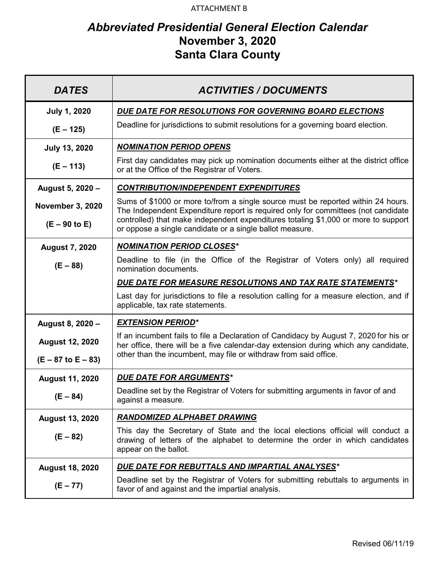#### ATTACHMENT B

# *Abbreviated Presidential General Election Calendar*  **November 3, 2020 Santa Clara County**

| <b>DATES</b>            | <b>ACTIVITIES / DOCUMENTS</b>                                                                                                                                                             |
|-------------------------|-------------------------------------------------------------------------------------------------------------------------------------------------------------------------------------------|
| <b>July 1, 2020</b>     | DUE DATE FOR RESOLUTIONS FOR GOVERNING BOARD ELECTIONS                                                                                                                                    |
| $(E - 125)$             | Deadline for jurisdictions to submit resolutions for a governing board election.                                                                                                          |
| <b>July 13, 2020</b>    | <b>NOMINATION PERIOD OPENS</b>                                                                                                                                                            |
| $(E - 113)$             | First day candidates may pick up nomination documents either at the district office<br>or at the Office of the Registrar of Voters.                                                       |
| August 5, 2020 -        | <b>CONTRIBUTION/INDEPENDENT EXPENDITURES</b>                                                                                                                                              |
| <b>November 3, 2020</b> | Sums of \$1000 or more to/from a single source must be reported within 24 hours.<br>The Independent Expenditure report is required only for committees (not candidate                     |
| $(E - 90$ to E)         | controlled) that make independent expenditures totaling \$1,000 or more to support<br>or oppose a single candidate or a single ballot measure.                                            |
| <b>August 7, 2020</b>   | <b>NOMINATION PERIOD CLOSES*</b>                                                                                                                                                          |
| $(E - 88)$              | Deadline to file (in the Office of the Registrar of Voters only) all required<br>nomination documents.                                                                                    |
|                         | DUE DATE FOR MEASURE RESOLUTIONS AND TAX RATE STATEMENTS*                                                                                                                                 |
|                         | Last day for jurisdictions to file a resolution calling for a measure election, and if<br>applicable, tax rate statements.                                                                |
| August 8, 2020 -        | <b>EXTENSION PERIOD*</b>                                                                                                                                                                  |
| <b>August 12, 2020</b>  | If an incumbent fails to file a Declaration of Candidacy by August 7, 2020 for his or<br>her office, there will be a five calendar-day extension during which any candidate,              |
| $(E - 87$ to $E - 83)$  | other than the incumbent, may file or withdraw from said office.                                                                                                                          |
| <b>August 11, 2020</b>  | <b>DUE DATE FOR ARGUMENTS*</b>                                                                                                                                                            |
| $(E - 84)$              | Deadline set by the Registrar of Voters for submitting arguments in favor of and<br>against a measure.                                                                                    |
| <b>August 13, 2020</b>  | RANDOMIZED ALPHABET DRAWING                                                                                                                                                               |
| $(E - 82)$              | This day the Secretary of State and the local elections official will conduct a<br>drawing of letters of the alphabet to determine the order in which candidates<br>appear on the ballot. |
| <b>August 18, 2020</b>  | <u>DUE DATE FOR REBUTTALS AND IMPARTIAL ANALYSES*</u>                                                                                                                                     |
| $(E - 77)$              | Deadline set by the Registrar of Voters for submitting rebuttals to arguments in<br>favor of and against and the impartial analysis.                                                      |